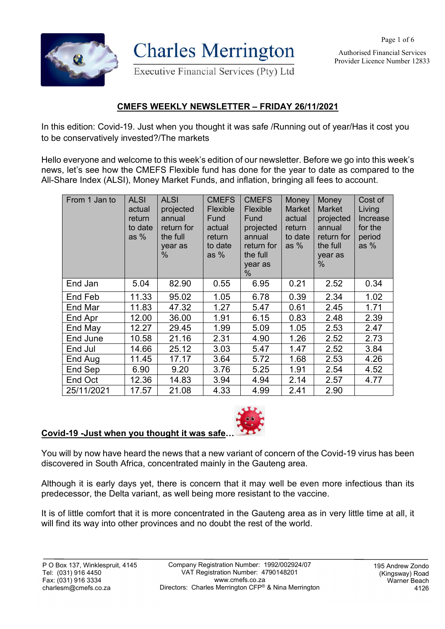Authorised Financial Services Provider Licence Number 12833



**Charles Merrington** 

Executive Financial Services (Pty) Ltd

## **CMEFS WEEKLY NEWSLETTER – FRIDAY 26/11/2021**

In this edition: Covid-19. Just when you thought it was safe /Running out of year/Has it cost you to be conservatively invested?/The markets

Hello everyone and welcome to this week's edition of our newsletter. Before we go into this week's news, let's see how the CMEFS Flexible fund has done for the year to date as compared to the All-Share Index (ALSI), Money Market Funds, and inflation, bringing all fees to account.

| From 1 Jan to | <b>ALSI</b><br>actual<br>return<br>to date<br>as $%$ | <b>ALSI</b><br>projected<br>annual<br>return for<br>the full<br>year as<br>$\%$ | <b>CMEFS</b><br>Flexible<br>Fund<br>actual<br>return<br>to date<br>as $%$ | <b>CMEFS</b><br>Flexible<br>Fund<br>projected<br>annual<br>return for<br>the full<br>year as<br>$\%$ | Money<br><b>Market</b><br>actual<br>return<br>to date<br>as $%$ | Money<br><b>Market</b><br>projected<br>annual<br>return for<br>the full<br>year as<br>% | Cost of<br>Living<br>Increase<br>for the<br>period<br>as $%$ |
|---------------|------------------------------------------------------|---------------------------------------------------------------------------------|---------------------------------------------------------------------------|------------------------------------------------------------------------------------------------------|-----------------------------------------------------------------|-----------------------------------------------------------------------------------------|--------------------------------------------------------------|
| End Jan       | 5.04                                                 | 82.90                                                                           | 0.55                                                                      | 6.95                                                                                                 | 0.21                                                            | 2.52                                                                                    | 0.34                                                         |
| End Feb       | 11.33                                                | 95.02                                                                           | 1.05                                                                      | 6.78                                                                                                 | 0.39                                                            | 2.34                                                                                    | 1.02                                                         |
| End Mar       | 11.83                                                | 47.32                                                                           | 1.27                                                                      | 5.47                                                                                                 | 0.61                                                            | 2.45                                                                                    | 1.71                                                         |
| End Apr       | 12.00                                                | 36.00                                                                           | 1.91                                                                      | 6.15                                                                                                 | 0.83                                                            | 2.48                                                                                    | 2.39                                                         |
| End May       | 12.27                                                | 29.45                                                                           | 1.99                                                                      | 5.09                                                                                                 | 1.05                                                            | 2.53                                                                                    | 2.47                                                         |
| End June      | 10.58                                                | 21.16                                                                           | 2.31                                                                      | 4.90                                                                                                 | 1.26                                                            | 2.52                                                                                    | 2.73                                                         |
| End Jul       | 14.66                                                | 25.12                                                                           | 3.03                                                                      | 5.47                                                                                                 | 1.47                                                            | 2.52                                                                                    | 3.84                                                         |
| End Aug       | 11.45                                                | 17.17                                                                           | 3.64                                                                      | 5.72                                                                                                 | 1.68                                                            | 2.53                                                                                    | 4.26                                                         |
| End Sep       | 6.90                                                 | 9.20                                                                            | 3.76                                                                      | 5.25                                                                                                 | 1.91                                                            | 2.54                                                                                    | 4.52                                                         |
| End Oct       | 12.36                                                | 14.83                                                                           | 3.94                                                                      | 4.94                                                                                                 | 2.14                                                            | 2.57                                                                                    | 4.77                                                         |
| 25/11/2021    | 17.57                                                | 21.08                                                                           | 4.33                                                                      | 4.99                                                                                                 | 2.41                                                            | 2.90                                                                                    |                                                              |

## **Covid-19 -Just when you thought it was safe…**

You will by now have heard the news that a new variant of concern of the Covid-19 virus has been discovered in South Africa, concentrated mainly in the Gauteng area.

Although it is early days yet, there is concern that it may well be even more infectious than its predecessor, the Delta variant, as well being more resistant to the vaccine.

It is of little comfort that it is more concentrated in the Gauteng area as in very little time at all, it will find its way into other provinces and no doubt the rest of the world.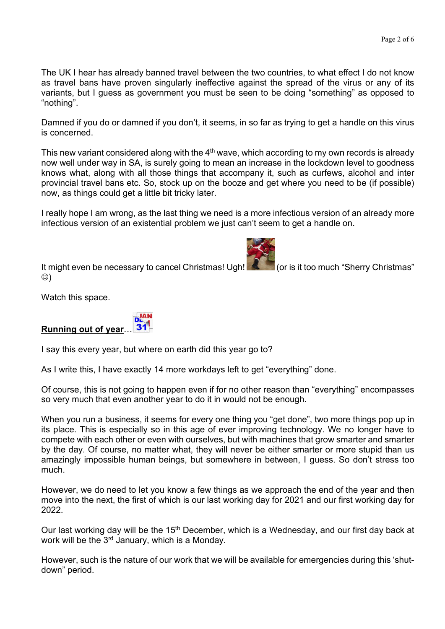The UK I hear has already banned travel between the two countries, to what effect I do not know as travel bans have proven singularly ineffective against the spread of the virus or any of its variants, but I guess as government you must be seen to be doing "something" as opposed to "nothing".

Damned if you do or damned if you don't, it seems, in so far as trying to get a handle on this virus is concerned.

This new variant considered along with the  $4<sup>th</sup>$  wave, which according to my own records is already now well under way in SA, is surely going to mean an increase in the lockdown level to goodness knows what, along with all those things that accompany it, such as curfews, alcohol and inter provincial travel bans etc. So, stock up on the booze and get where you need to be (if possible) now, as things could get a little bit tricky later.

I really hope I am wrong, as the last thing we need is a more infectious version of an already more infectious version of an existential problem we just can't seem to get a handle on.

It might even be necessary to cancel Christmas! Ugh! (or is it too much "Sherry Christmas"  $\circledcirc$ )

Watch this space.

## **Running out of year**…

I say this every year, but where on earth did this year go to?

As I write this, I have exactly 14 more workdays left to get "everything" done.

Of course, this is not going to happen even if for no other reason than "everything" encompasses so very much that even another year to do it in would not be enough.

When you run a business, it seems for every one thing you "get done", two more things pop up in its place. This is especially so in this age of ever improving technology. We no longer have to compete with each other or even with ourselves, but with machines that grow smarter and smarter by the day. Of course, no matter what, they will never be either smarter or more stupid than us amazingly impossible human beings, but somewhere in between, I guess. So don't stress too much.

However, we do need to let you know a few things as we approach the end of the year and then move into the next, the first of which is our last working day for 2021 and our first working day for 2022.

Our last working day will be the 15<sup>th</sup> December, which is a Wednesday, and our first day back at work will be the  $3<sup>rd</sup>$  January, which is a Monday.

However, such is the nature of our work that we will be available for emergencies during this 'shutdown" period.

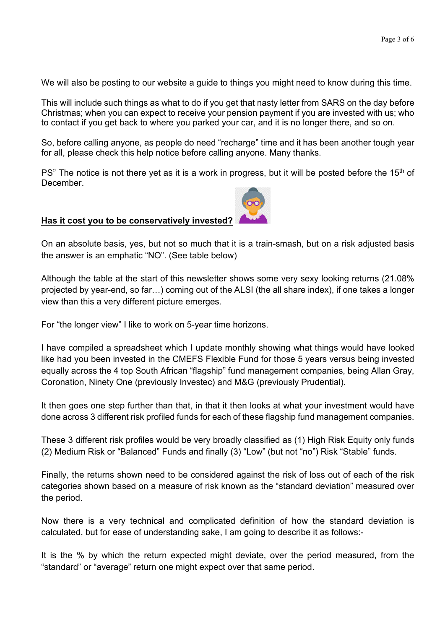We will also be posting to our website a guide to things you might need to know during this time.

This will include such things as what to do if you get that nasty letter from SARS on the day before Christmas; when you can expect to receive your pension payment if you are invested with us; who to contact if you get back to where you parked your car, and it is no longer there, and so on.

So, before calling anyone, as people do need "recharge" time and it has been another tough year for all, please check this help notice before calling anyone. Many thanks.

PS" The notice is not there yet as it is a work in progress, but it will be posted before the 15<sup>th</sup> of **December** 

## **Has it cost you to be conservatively invested?**

On an absolute basis, yes, but not so much that it is a train-smash, but on a risk adjusted basis the answer is an emphatic "NO". (See table below)

Although the table at the start of this newsletter shows some very sexy looking returns (21.08% projected by year-end, so far…) coming out of the ALSI (the all share index), if one takes a longer view than this a very different picture emerges.

For "the longer view" I like to work on 5-year time horizons.

I have compiled a spreadsheet which I update monthly showing what things would have looked like had you been invested in the CMEFS Flexible Fund for those 5 years versus being invested equally across the 4 top South African "flagship" fund management companies, being Allan Gray, Coronation, Ninety One (previously Investec) and M&G (previously Prudential).

It then goes one step further than that, in that it then looks at what your investment would have done across 3 different risk profiled funds for each of these flagship fund management companies.

These 3 different risk profiles would be very broadly classified as (1) High Risk Equity only funds (2) Medium Risk or "Balanced" Funds and finally (3) "Low" (but not "no") Risk "Stable" funds.

Finally, the returns shown need to be considered against the risk of loss out of each of the risk categories shown based on a measure of risk known as the "standard deviation" measured over the period.

Now there is a very technical and complicated definition of how the standard deviation is calculated, but for ease of understanding sake, I am going to describe it as follows:-

It is the % by which the return expected might deviate, over the period measured, from the "standard" or "average" return one might expect over that same period.

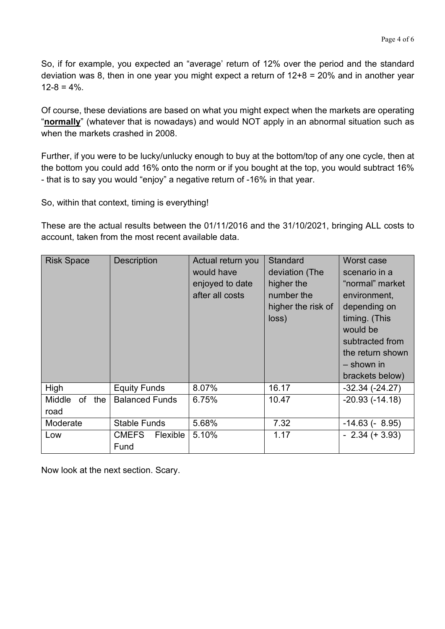So, if for example, you expected an "average' return of 12% over the period and the standard deviation was 8, then in one year you might expect a return of 12+8 = 20% and in another year  $12-8 = 4\%$ 

Of course, these deviations are based on what you might expect when the markets are operating "**normally**" (whatever that is nowadays) and would NOT apply in an abnormal situation such as when the markets crashed in 2008.

Further, if you were to be lucky/unlucky enough to buy at the bottom/top of any one cycle, then at the bottom you could add 16% onto the norm or if you bought at the top, you would subtract 16% - that is to say you would "enjoy" a negative return of -16% in that year.

So, within that context, timing is everything!

These are the actual results between the 01/11/2016 and the 31/10/2021, bringing ALL costs to account, taken from the most recent available data.

| <b>Risk Space</b>               | <b>Description</b>               | Actual return you<br>would have<br>enjoyed to date<br>after all costs | <b>Standard</b><br>deviation (The<br>higher the<br>number the<br>higher the risk of<br>loss) | Worst case<br>scenario in a<br>"normal" market<br>environment,<br>depending on<br>timing. (This<br>would be<br>subtracted from<br>the return shown<br>$-$ shown in<br>brackets below) |
|---------------------------------|----------------------------------|-----------------------------------------------------------------------|----------------------------------------------------------------------------------------------|---------------------------------------------------------------------------------------------------------------------------------------------------------------------------------------|
| High                            | <b>Equity Funds</b>              | 8.07%                                                                 | 16.17                                                                                        | $-32.34(-24.27)$                                                                                                                                                                      |
| Middle<br>of<br>the<br>road     | <b>Balanced Funds</b>            | 6.75%                                                                 | 10.47                                                                                        | $-20.93(-14.18)$                                                                                                                                                                      |
| <b>Stable Funds</b><br>Moderate |                                  | 5.68%                                                                 | 7.32                                                                                         | $-14.63(-8.95)$                                                                                                                                                                       |
| Low                             | Flexible<br><b>CMEFS</b><br>Fund | 5.10%                                                                 | 1.17                                                                                         | $-2.34 (+ 3.93)$                                                                                                                                                                      |

Now look at the next section. Scary.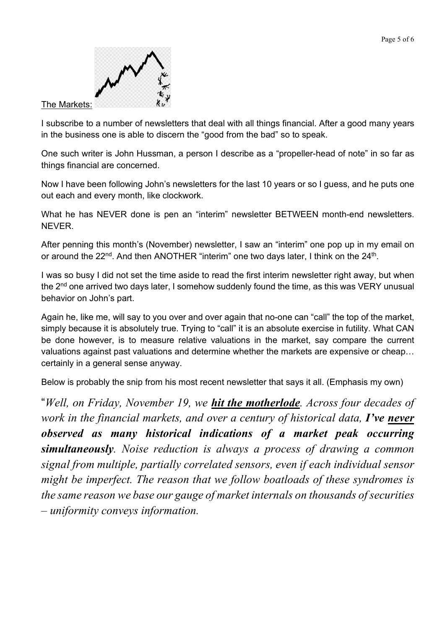

I subscribe to a number of newsletters that deal with all things financial. After a good many years in the business one is able to discern the "good from the bad" so to speak.

One such writer is John Hussman, a person I describe as a "propeller-head of note" in so far as things financial are concerned.

Now I have been following John's newsletters for the last 10 years or so I guess, and he puts one out each and every month, like clockwork.

What he has NEVER done is pen an "interim" newsletter BETWEEN month-end newsletters. NEVER.

After penning this month's (November) newsletter, I saw an "interim" one pop up in my email on or around the 22<sup>nd</sup>. And then ANOTHER "interim" one two days later, I think on the 24<sup>th</sup>.

I was so busy I did not set the time aside to read the first interim newsletter right away, but when the 2<sup>nd</sup> one arrived two days later, I somehow suddenly found the time, as this was VERY unusual behavior on John's part.

Again he, like me, will say to you over and over again that no-one can "call" the top of the market, simply because it is absolutely true. Trying to "call" it is an absolute exercise in futility. What CAN be done however, is to measure relative valuations in the market, say compare the current valuations against past valuations and determine whether the markets are expensive or cheap… certainly in a general sense anyway.

Below is probably the snip from his most recent newsletter that says it all. (Emphasis my own)

"*Well, on Friday, November 19, we hit the motherlode. Across four decades of work in the financial markets, and over a century of historical data, I've never observed as many historical indications of a market peak occurring simultaneously. Noise reduction is always a process of drawing a common signal from multiple, partially correlated sensors, even if each individual sensor might be imperfect. The reason that we follow boatloads of these syndromes is the same reason we base our gauge of market internals on thousands of securities – uniformity conveys information.*